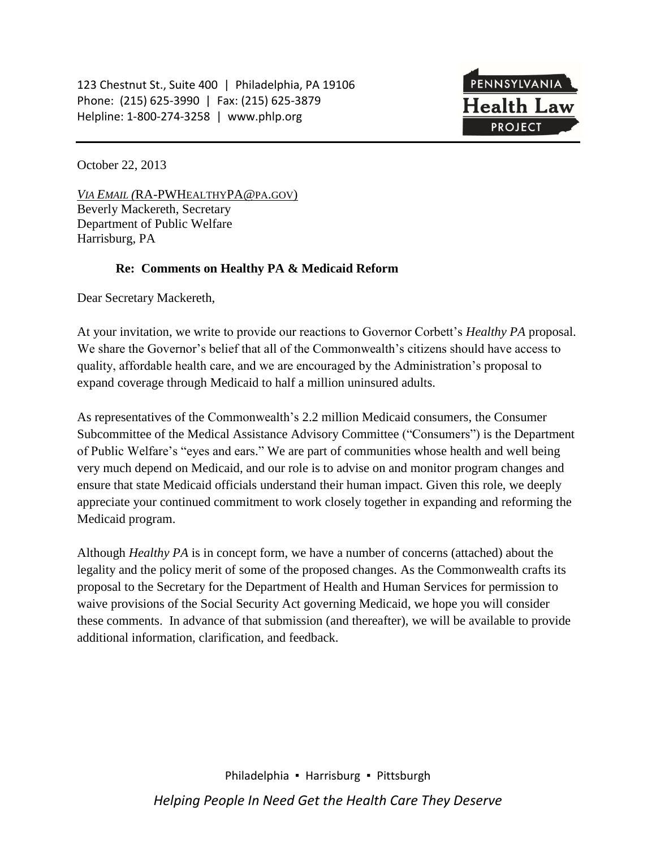123 Chestnut St., Suite 400 | Philadelphia, PA 19106 Phone: (215) 625-3990 | Fax: (215) 625-3879 Helpline: 1-800-274-3258 | www.phlp.org



October 22, 2013

*VIA EMAIL (*RA-PWHEALTHYPA@PA.GOV) Beverly Mackereth, Secretary Department of Public Welfare Harrisburg, PA

### **Re: Comments on Healthy PA & Medicaid Reform**

Dear Secretary Mackereth,

At your invitation, we write to provide our reactions to Governor Corbett's *Healthy PA* proposal. We share the Governor's belief that all of the Commonwealth's citizens should have access to quality, affordable health care, and we are encouraged by the Administration's proposal to expand coverage through Medicaid to half a million uninsured adults.

As representatives of the Commonwealth's 2.2 million Medicaid consumers, the Consumer Subcommittee of the Medical Assistance Advisory Committee ("Consumers") is the Department of Public Welfare's "eyes and ears." We are part of communities whose health and well being very much depend on Medicaid, and our role is to advise on and monitor program changes and ensure that state Medicaid officials understand their human impact. Given this role, we deeply appreciate your continued commitment to work closely together in expanding and reforming the Medicaid program.

Although *Healthy PA* is in concept form, we have a number of concerns (attached) about the legality and the policy merit of some of the proposed changes. As the Commonwealth crafts its proposal to the Secretary for the Department of Health and Human Services for permission to waive provisions of the Social Security Act governing Medicaid, we hope you will consider these comments. In advance of that submission (and thereafter), we will be available to provide additional information, clarification, and feedback.

> Philadelphia ▪ Harrisburg ▪ Pittsburgh *Helping People In Need Get the Health Care They Deserve*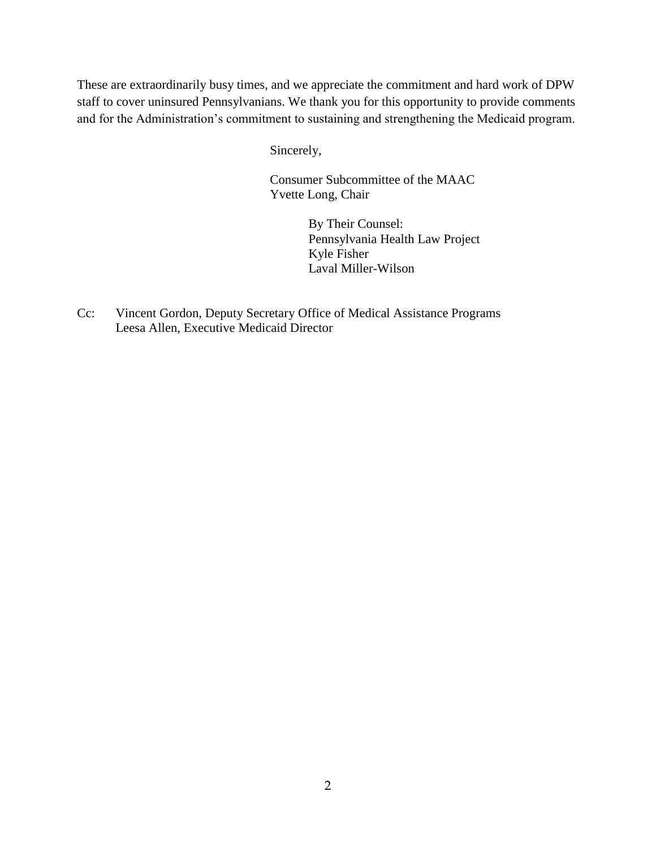These are extraordinarily busy times, and we appreciate the commitment and hard work of DPW staff to cover uninsured Pennsylvanians. We thank you for this opportunity to provide comments and for the Administration's commitment to sustaining and strengthening the Medicaid program.

Sincerely,

Consumer Subcommittee of the MAAC Yvette Long, Chair

> By Their Counsel: Pennsylvania Health Law Project Kyle Fisher Laval Miller-Wilson

Cc: Vincent Gordon, Deputy Secretary Office of Medical Assistance Programs Leesa Allen, Executive Medicaid Director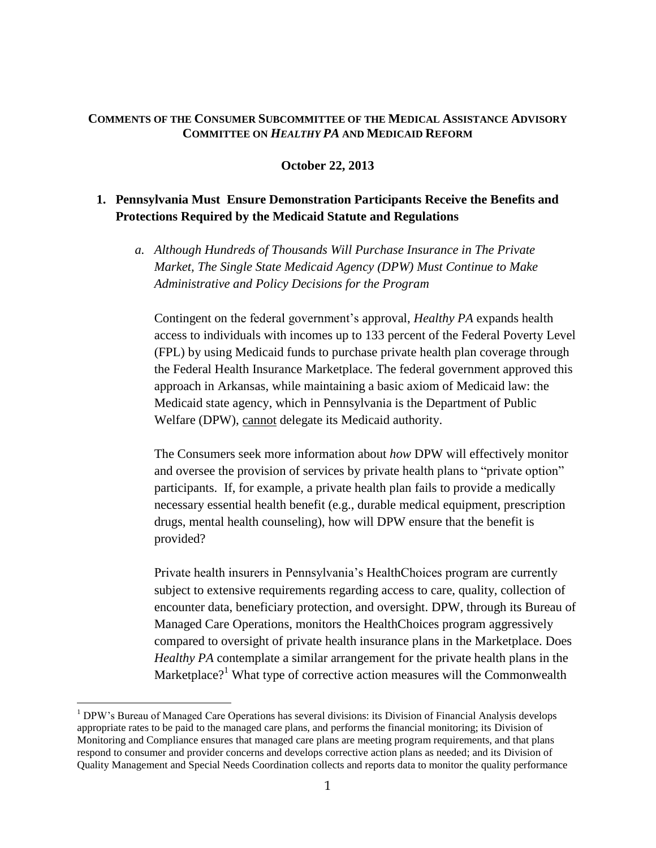#### **COMMENTS OF THE CONSUMER SUBCOMMITTEE OF THE MEDICAL ASSISTANCE ADVISORY COMMITTEE ON** *HEALTHY PA* **AND MEDICAID REFORM**

### **October 22, 2013**

# **1. Pennsylvania Must Ensure Demonstration Participants Receive the Benefits and Protections Required by the Medicaid Statute and Regulations**

*a. Although Hundreds of Thousands Will Purchase Insurance in The Private Market, The Single State Medicaid Agency (DPW) Must Continue to Make Administrative and Policy Decisions for the Program*

Contingent on the federal government's approval, *Healthy PA* expands health access to individuals with incomes up to 133 percent of the Federal Poverty Level (FPL) by using Medicaid funds to purchase private health plan coverage through the Federal Health Insurance Marketplace. The federal government approved this approach in Arkansas, while maintaining a basic axiom of Medicaid law: the Medicaid state agency, which in Pennsylvania is the Department of Public Welfare (DPW), cannot delegate its Medicaid authority.

The Consumers seek more information about *how* DPW will effectively monitor and oversee the provision of services by private health plans to "private option" participants. If, for example, a private health plan fails to provide a medically necessary essential health benefit (e.g., durable medical equipment, prescription drugs, mental health counseling), how will DPW ensure that the benefit is provided?

Private health insurers in Pennsylvania's HealthChoices program are currently subject to extensive requirements regarding access to care, quality, collection of encounter data, beneficiary protection, and oversight. DPW, through its Bureau of Managed Care Operations, monitors the HealthChoices program aggressively compared to oversight of private health insurance plans in the Marketplace. Does *Healthy PA* contemplate a similar arrangement for the private health plans in the Marketplace?<sup>1</sup> What type of corrective action measures will the Commonwealth

<sup>&</sup>lt;sup>1</sup> DPW's Bureau of Managed Care Operations has several divisions: its Division of Financial Analysis develops appropriate rates to be paid to the managed care plans, and performs the financial monitoring; its Division of Monitoring and Compliance ensures that managed care plans are meeting program requirements, and that plans respond to consumer and provider concerns and develops corrective action plans as needed; and its Division of Quality Management and Special Needs Coordination collects and reports data to monitor the quality performance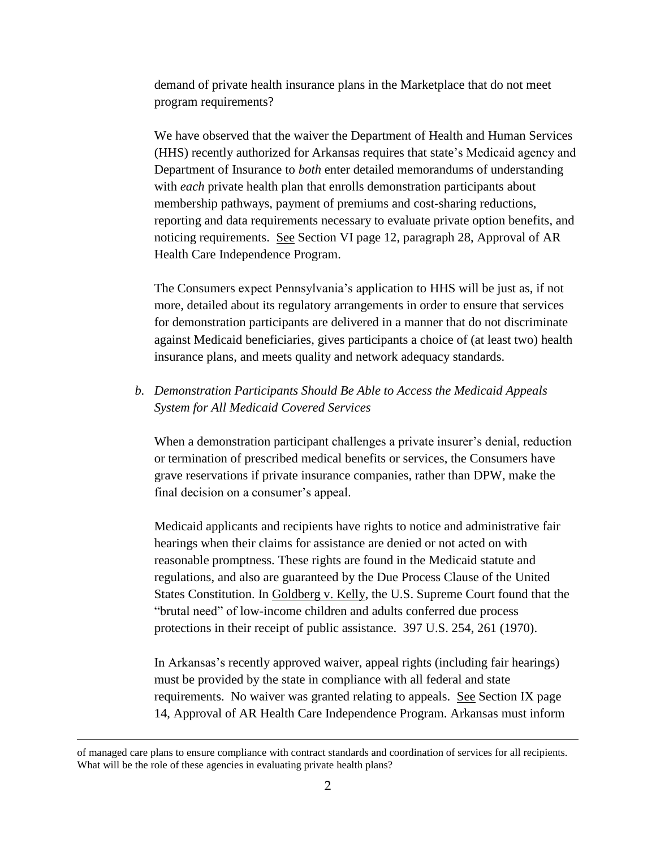demand of private health insurance plans in the Marketplace that do not meet program requirements?

We have observed that the waiver the Department of Health and Human Services (HHS) recently authorized for Arkansas requires that state's Medicaid agency and Department of Insurance to *both* enter detailed memorandums of understanding with *each* private health plan that enrolls demonstration participants about membership pathways, payment of premiums and cost-sharing reductions, reporting and data requirements necessary to evaluate private option benefits, and noticing requirements. See Section VI page 12, paragraph 28, Approval of AR Health Care Independence Program.

The Consumers expect Pennsylvania's application to HHS will be just as, if not more, detailed about its regulatory arrangements in order to ensure that services for demonstration participants are delivered in a manner that do not discriminate against Medicaid beneficiaries, gives participants a choice of (at least two) health insurance plans, and meets quality and network adequacy standards.

# *b. Demonstration Participants Should Be Able to Access the Medicaid Appeals System for All Medicaid Covered Services*

When a demonstration participant challenges a private insurer's denial, reduction or termination of prescribed medical benefits or services, the Consumers have grave reservations if private insurance companies, rather than DPW, make the final decision on a consumer's appeal.

Medicaid applicants and recipients have rights to notice and administrative fair hearings when their claims for assistance are denied or not acted on with reasonable promptness. These rights are found in the Medicaid statute and regulations, and also are guaranteed by the Due Process Clause of the United States Constitution. In Goldberg v. Kelly, the U.S. Supreme Court found that the "brutal need" of low-income children and adults conferred due process protections in their receipt of public assistance. 397 U.S. 254, 261 (1970).

In Arkansas's recently approved waiver, appeal rights (including fair hearings) must be provided by the state in compliance with all federal and state requirements. No waiver was granted relating to appeals. See Section IX page 14, Approval of AR Health Care Independence Program. Arkansas must inform

of managed care plans to ensure compliance with contract standards and coordination of services for all recipients. What will be the role of these agencies in evaluating private health plans?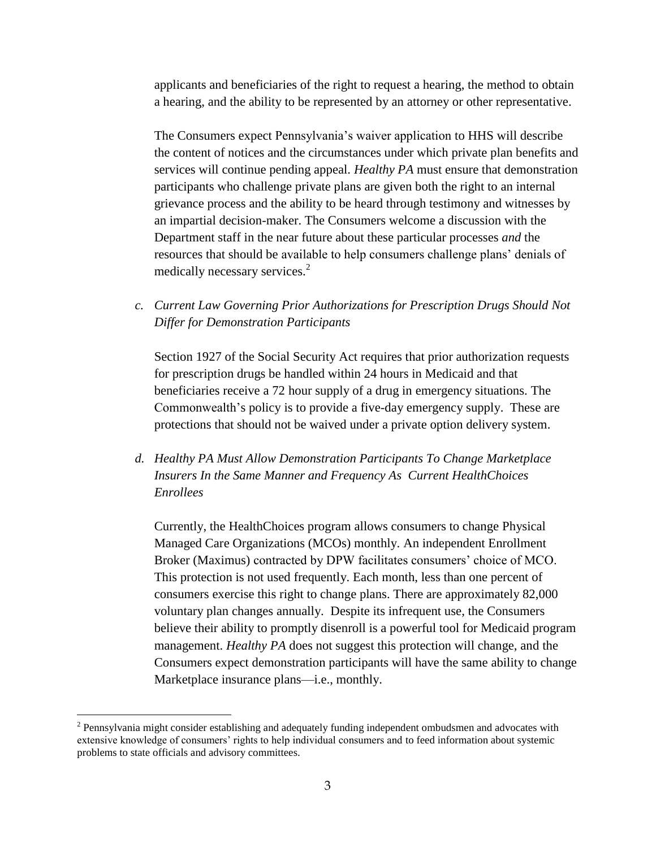applicants and beneficiaries of the right to request a hearing, the method to obtain a hearing, and the ability to be represented by an attorney or other representative.

The Consumers expect Pennsylvania's waiver application to HHS will describe the content of notices and the circumstances under which private plan benefits and services will continue pending appeal. *Healthy PA* must ensure that demonstration participants who challenge private plans are given both the right to an internal grievance process and the ability to be heard through testimony and witnesses by an impartial decision-maker. The Consumers welcome a discussion with the Department staff in the near future about these particular processes *and* the resources that should be available to help consumers challenge plans' denials of medically necessary services.<sup>2</sup>

*c. Current Law Governing Prior Authorizations for Prescription Drugs Should Not Differ for Demonstration Participants* 

Section 1927 of the Social Security Act requires that prior authorization requests for prescription drugs be handled within 24 hours in Medicaid and that beneficiaries receive a 72 hour supply of a drug in emergency situations. The Commonwealth's policy is to provide a five-day emergency supply. These are protections that should not be waived under a private option delivery system.

*d. Healthy PA Must Allow Demonstration Participants To Change Marketplace Insurers In the Same Manner and Frequency As Current HealthChoices Enrollees*

Currently, the HealthChoices program allows consumers to change Physical Managed Care Organizations (MCOs) monthly. An independent Enrollment Broker (Maximus) contracted by DPW facilitates consumers' choice of MCO. This protection is not used frequently. Each month, less than one percent of consumers exercise this right to change plans. There are approximately 82,000 voluntary plan changes annually. Despite its infrequent use, the Consumers believe their ability to promptly disenroll is a powerful tool for Medicaid program management. *Healthy PA* does not suggest this protection will change, and the Consumers expect demonstration participants will have the same ability to change Marketplace insurance plans—i.e., monthly.

 $2$  Pennsylvania might consider establishing and adequately funding independent ombudsmen and advocates with extensive knowledge of consumers' rights to help individual consumers and to feed information about systemic problems to state officials and advisory committees.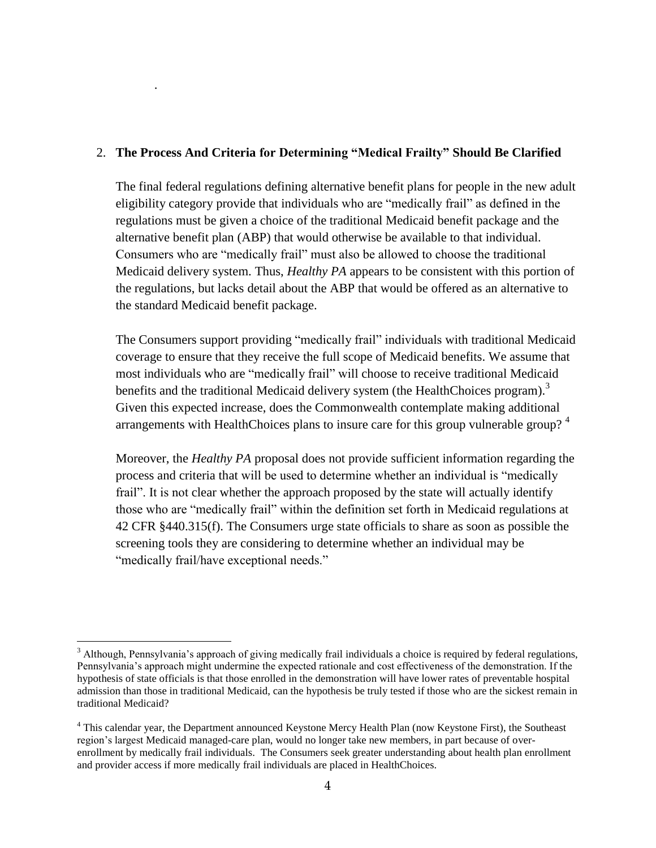## 2. **The Process And Criteria for Determining "Medical Frailty" Should Be Clarified**

.

 $\overline{a}$ 

The final federal regulations defining alternative benefit plans for people in the new adult eligibility category provide that individuals who are "medically frail" as defined in the regulations must be given a choice of the traditional Medicaid benefit package and the alternative benefit plan (ABP) that would otherwise be available to that individual. Consumers who are "medically frail" must also be allowed to choose the traditional Medicaid delivery system. Thus, *Healthy PA* appears to be consistent with this portion of the regulations, but lacks detail about the ABP that would be offered as an alternative to the standard Medicaid benefit package.

The Consumers support providing "medically frail" individuals with traditional Medicaid coverage to ensure that they receive the full scope of Medicaid benefits. We assume that most individuals who are "medically frail" will choose to receive traditional Medicaid benefits and the traditional Medicaid delivery system (the HealthChoices program).<sup>3</sup> Given this expected increase, does the Commonwealth contemplate making additional arrangements with HealthChoices plans to insure care for this group vulnerable group?<sup>4</sup>

Moreover, the *Healthy PA* proposal does not provide sufficient information regarding the process and criteria that will be used to determine whether an individual is "medically frail". It is not clear whether the approach proposed by the state will actually identify those who are "medically frail" within the definition set forth in Medicaid regulations at 42 CFR §440.315(f). The Consumers urge state officials to share as soon as possible the screening tools they are considering to determine whether an individual may be "medically frail/have exceptional needs."

 $3$  Although, Pennsylvania's approach of giving medically frail individuals a choice is required by federal regulations, Pennsylvania's approach might undermine the expected rationale and cost effectiveness of the demonstration. If the hypothesis of state officials is that those enrolled in the demonstration will have lower rates of preventable hospital admission than those in traditional Medicaid, can the hypothesis be truly tested if those who are the sickest remain in traditional Medicaid?

<sup>4</sup> This calendar year, the Department announced Keystone Mercy Health Plan (now Keystone First), the Southeast region's largest Medicaid managed-care plan, would no longer take new members, in part because of overenrollment by medically frail individuals. The Consumers seek greater understanding about health plan enrollment and provider access if more medically frail individuals are placed in HealthChoices.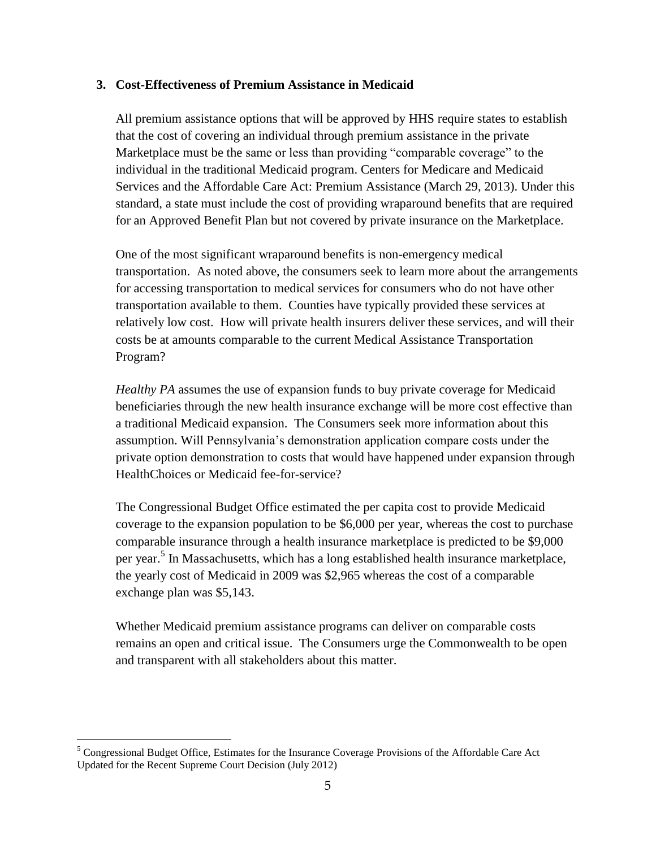#### **3. Cost-Effectiveness of Premium Assistance in Medicaid**

All premium assistance options that will be approved by HHS require states to establish that the cost of covering an individual through premium assistance in the private Marketplace must be the same or less than providing "comparable coverage" to the individual in the traditional Medicaid program. Centers for Medicare and Medicaid Services and the Affordable Care Act: Premium Assistance (March 29, 2013). Under this standard, a state must include the cost of providing wraparound benefits that are required for an Approved Benefit Plan but not covered by private insurance on the Marketplace.

One of the most significant wraparound benefits is non-emergency medical transportation. As noted above, the consumers seek to learn more about the arrangements for accessing transportation to medical services for consumers who do not have other transportation available to them. Counties have typically provided these services at relatively low cost. How will private health insurers deliver these services, and will their costs be at amounts comparable to the current Medical Assistance Transportation Program?

*Healthy PA* assumes the use of expansion funds to buy private coverage for Medicaid beneficiaries through the new health insurance exchange will be more cost effective than a traditional Medicaid expansion. The Consumers seek more information about this assumption. Will Pennsylvania's demonstration application compare costs under the private option demonstration to costs that would have happened under expansion through HealthChoices or Medicaid fee-for-service?

The Congressional Budget Office estimated the per capita cost to provide Medicaid coverage to the expansion population to be \$6,000 per year, whereas the cost to purchase comparable insurance through a health insurance marketplace is predicted to be \$9,000 per year.<sup>5</sup> In Massachusetts, which has a long established health insurance marketplace, the yearly cost of Medicaid in 2009 was \$2,965 whereas the cost of a comparable exchange plan was \$5,143.

Whether Medicaid premium assistance programs can deliver on comparable costs remains an open and critical issue. The Consumers urge the Commonwealth to be open and transparent with all stakeholders about this matter.

<sup>&</sup>lt;sup>5</sup> Congressional Budget Office, Estimates for the Insurance Coverage Provisions of the Affordable Care Act Updated for the Recent Supreme Court Decision (July 2012)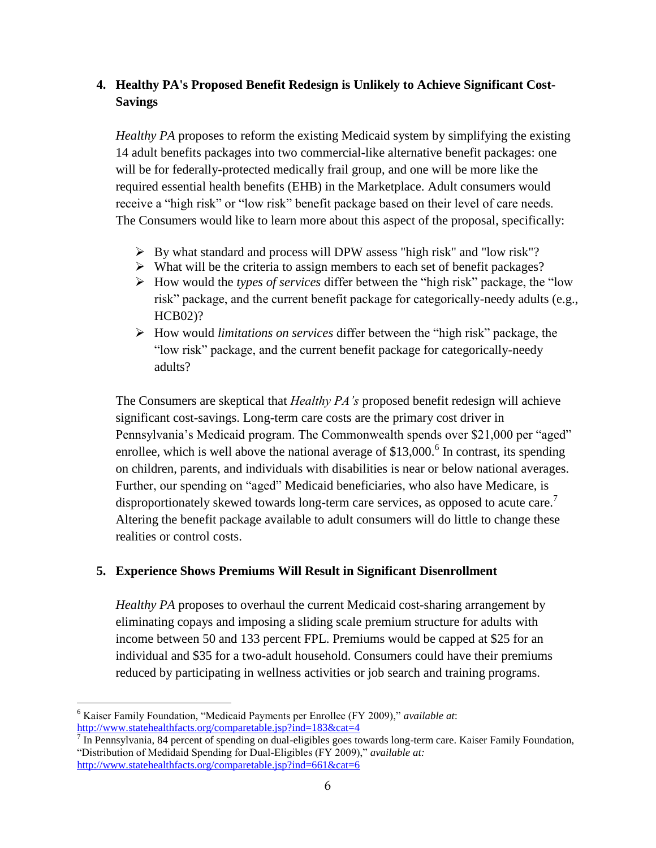# **4. Healthy PA's Proposed Benefit Redesign is Unlikely to Achieve Significant Cost-Savings**

*Healthy PA* proposes to reform the existing Medicaid system by simplifying the existing 14 adult benefits packages into two commercial-like alternative benefit packages: one will be for federally-protected medically frail group, and one will be more like the required essential health benefits (EHB) in the Marketplace. Adult consumers would receive a "high risk" or "low risk" benefit package based on their level of care needs. The Consumers would like to learn more about this aspect of the proposal, specifically:

- $\triangleright$  By what standard and process will DPW assess "high risk" and "low risk"?
- $\triangleright$  What will be the criteria to assign members to each set of benefit packages?
- How would the *types of services* differ between the "high risk" package, the "low risk" package, and the current benefit package for categorically-needy adults (e.g., HCB02)?
- How would *limitations on services* differ between the "high risk" package, the "low risk" package, and the current benefit package for categorically-needy adults?

The Consumers are skeptical that *Healthy PA's* proposed benefit redesign will achieve significant cost-savings. Long-term care costs are the primary cost driver in Pennsylvania's Medicaid program. The Commonwealth spends over \$21,000 per "aged" enrollee, which is well above the national average of  $$13,000$ .<sup>6</sup> In contrast, its spending on children, parents, and individuals with disabilities is near or below national averages. Further, our spending on "aged" Medicaid beneficiaries, who also have Medicare, is disproportionately skewed towards long-term care services, as opposed to acute care.<sup>7</sup> Altering the benefit package available to adult consumers will do little to change these realities or control costs.

## **5. Experience Shows Premiums Will Result in Significant Disenrollment**

*Healthy PA* proposes to overhaul the current Medicaid cost-sharing arrangement by eliminating copays and imposing a sliding scale premium structure for adults with income between 50 and 133 percent FPL. Premiums would be capped at \$25 for an individual and \$35 for a two-adult household. Consumers could have their premiums reduced by participating in wellness activities or job search and training programs.

 $\overline{a}$ <sup>6</sup> Kaiser Family Foundation, "Medicaid Payments per Enrollee (FY 2009)," *available at*: <http://www.statehealthfacts.org/comparetable.jsp?ind=183&cat=4>

 $^7$  In Pennsylvania, 84 percent of spending on dual-eligibles goes towards long-term care. Kaiser Family Foundation, "Distribution of Medidaid Spending for Dual-Eligibles (FY 2009)," *available at:* <http://www.statehealthfacts.org/comparetable.jsp?ind=661&cat=6>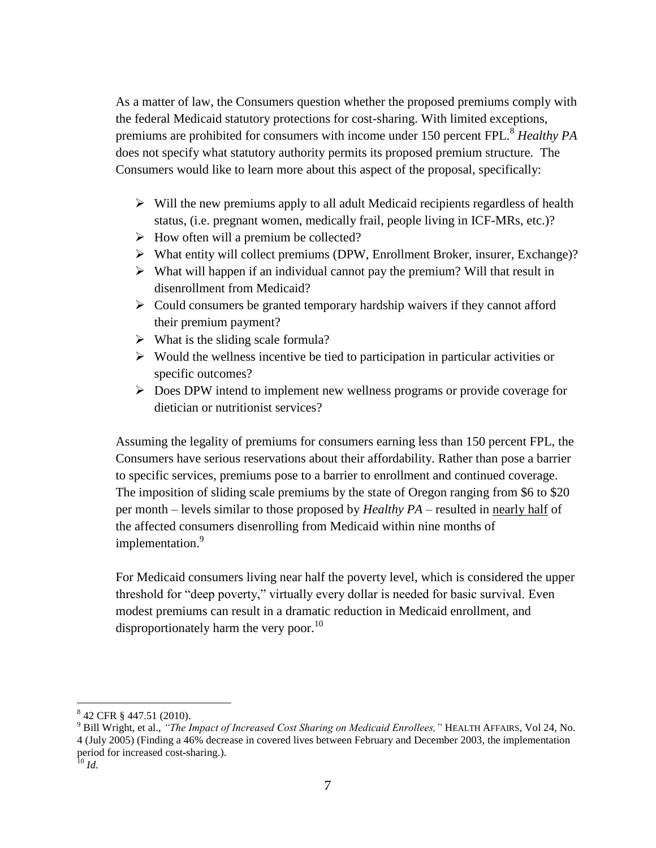As a matter of law, the Consumers question whether the proposed premiums comply with the federal Medicaid statutory protections for cost-sharing. With limited exceptions, premiums are prohibited for consumers with income under 150 percent FPL.<sup>8</sup> *Healthy PA* does not specify what statutory authority permits its proposed premium structure. The Consumers would like to learn more about this aspect of the proposal, specifically:

- $\triangleright$  Will the new premiums apply to all adult Medicaid recipients regardless of health status, (i.e. pregnant women, medically frail, people living in ICF-MRs, etc.)?
- $\triangleright$  How often will a premium be collected?
- What entity will collect premiums (DPW, Enrollment Broker, insurer, Exchange)?
- $\triangleright$  What will happen if an individual cannot pay the premium? Will that result in disenrollment from Medicaid?
- $\triangleright$  Could consumers be granted temporary hardship waivers if they cannot afford their premium payment?
- $\triangleright$  What is the sliding scale formula?
- $\triangleright$  Would the wellness incentive be tied to participation in particular activities or specific outcomes?
- $\triangleright$  Does DPW intend to implement new wellness programs or provide coverage for dietician or nutritionist services?

Assuming the legality of premiums for consumers earning less than 150 percent FPL, the Consumers have serious reservations about their affordability. Rather than pose a barrier to specific services, premiums pose to a barrier to enrollment and continued coverage. The imposition of sliding scale premiums by the state of Oregon ranging from \$6 to \$20 per month – levels similar to those proposed by *Healthy PA* – resulted in nearly half of the affected consumers disenrolling from Medicaid within nine months of implementation.<sup>9</sup>

For Medicaid consumers living near half the poverty level, which is considered the upper threshold for "deep poverty," virtually every dollar is needed for basic survival. Even modest premiums can result in a dramatic reduction in Medicaid enrollment, and disproportionately harm the very poor.<sup>10</sup>

<sup>8</sup> 42 CFR § 447.51 (2010).

<sup>9</sup> Bill Wright, et al., *"The Impact of Increased Cost Sharing on Medicaid Enrollees,"* HEALTH AFFAIRS, Vol 24, No. 4 (July 2005) (Finding a 46% decrease in covered lives between February and December 2003, the implementation period for increased cost-sharing.).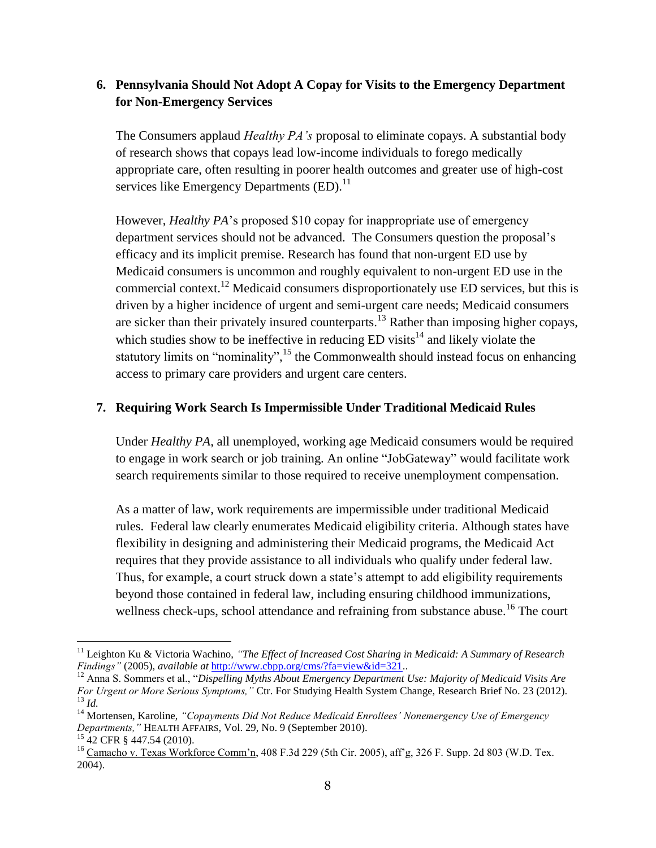# **6. Pennsylvania Should Not Adopt A Copay for Visits to the Emergency Department for Non-Emergency Services**

The Consumers applaud *Healthy PA's* proposal to eliminate copays. A substantial body of research shows that copays lead low-income individuals to forego medically appropriate care, often resulting in poorer health outcomes and greater use of high-cost services like Emergency Departments (ED).<sup>11</sup>

However, *Healthy PA*'s proposed \$10 copay for inappropriate use of emergency department services should not be advanced. The Consumers question the proposal's efficacy and its implicit premise. Research has found that non-urgent ED use by Medicaid consumers is uncommon and roughly equivalent to non-urgent ED use in the commercial context.<sup>12</sup> Medicaid consumers disproportionately use ED services, but this is driven by a higher incidence of urgent and semi-urgent care needs; Medicaid consumers are sicker than their privately insured counterparts.<sup>13</sup> Rather than imposing higher copays, which studies show to be ineffective in reducing  $ED$  visits<sup>14</sup> and likely violate the statutory limits on "nominality",<sup>15</sup> the Commonwealth should instead focus on enhancing access to primary care providers and urgent care centers.

### **7. Requiring Work Search Is Impermissible Under Traditional Medicaid Rules**

Under *Healthy PA*, all unemployed, working age Medicaid consumers would be required to engage in work search or job training. An online "JobGateway" would facilitate work search requirements similar to those required to receive unemployment compensation.

As a matter of law, work requirements are impermissible under traditional Medicaid rules. Federal law clearly enumerates Medicaid eligibility criteria. Although states have flexibility in designing and administering their Medicaid programs, the Medicaid Act requires that they provide assistance to all individuals who qualify under federal law. Thus, for example, a court struck down a state's attempt to add eligibility requirements beyond those contained in federal law, including ensuring childhood immunizations, wellness check-ups, school attendance and refraining from substance abuse.<sup>16</sup> The court

<sup>&</sup>lt;sup>11</sup> Leighton Ku & Victoria Wachino, "The Effect of Increased Cost Sharing in Medicaid: A Summary of Research *Findings"* (2005), *available at* [http://www.cbpp.org/cms/?fa=view&id=321.](http://www.cbpp.org/cms/?fa=view&id=321).

<sup>&</sup>lt;sup>12</sup> Anna S. Sommers et al., "*Dispelling Myths About Emergency Department Use: Majority of Medicaid Visits Are For Urgent or More Serious Symptoms,"* Ctr. For Studying Health System Change, Research Brief No. 23 (2012). <sup>13</sup> *Id.*

<sup>14</sup> Mortensen, Karoline, *"Copayments Did Not Reduce Medicaid Enrollees' Nonemergency Use of Emergency Departments,"* HEALTH AFFAIRS, Vol. 29, No. 9 (September 2010).

 $^{15}$  42 CFR § 447.54 (2010).

<sup>&</sup>lt;sup>16</sup> Camacho v. Texas Workforce Comm'n, 408 F.3d 229 (5th Cir. 2005), aff'g, 326 F. Supp. 2d 803 (W.D. Tex. 2004).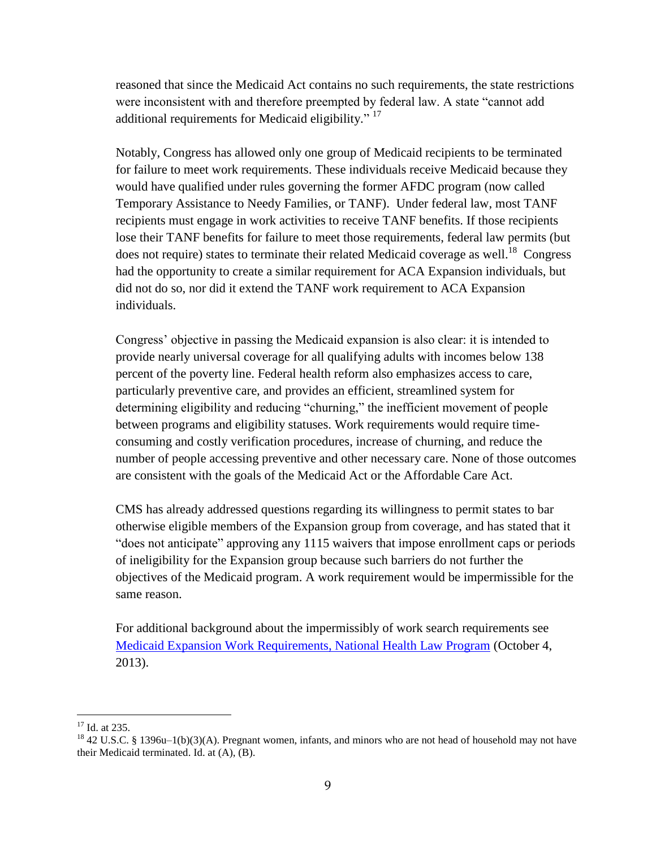reasoned that since the Medicaid Act contains no such requirements, the state restrictions were inconsistent with and therefore preempted by federal law. A state "cannot add additional requirements for Medicaid eligibility."<sup>17</sup>

Notably, Congress has allowed only one group of Medicaid recipients to be terminated for failure to meet work requirements. These individuals receive Medicaid because they would have qualified under rules governing the former AFDC program (now called Temporary Assistance to Needy Families, or TANF). Under federal law, most TANF recipients must engage in work activities to receive TANF benefits. If those recipients lose their TANF benefits for failure to meet those requirements, federal law permits (but does not require) states to terminate their related Medicaid coverage as well.<sup>18</sup> Congress had the opportunity to create a similar requirement for ACA Expansion individuals, but did not do so, nor did it extend the TANF work requirement to ACA Expansion individuals.

Congress' objective in passing the Medicaid expansion is also clear: it is intended to provide nearly universal coverage for all qualifying adults with incomes below 138 percent of the poverty line. Federal health reform also emphasizes access to care, particularly preventive care, and provides an efficient, streamlined system for determining eligibility and reducing "churning," the inefficient movement of people between programs and eligibility statuses. Work requirements would require timeconsuming and costly verification procedures, increase of churning, and reduce the number of people accessing preventive and other necessary care. None of those outcomes are consistent with the goals of the Medicaid Act or the Affordable Care Act.

CMS has already addressed questions regarding its willingness to permit states to bar otherwise eligible members of the Expansion group from coverage, and has stated that it "does not anticipate" approving any 1115 waivers that impose enrollment caps or periods of ineligibility for the Expansion group because such barriers do not further the objectives of the Medicaid program. A work requirement would be impermissible for the same reason.

For additional background about the impermissibly of work search requirements see [Medicaid Expansion Work Requirements, National Health Law Program](http://healthlaw.org/images/stories/2013_10_03_NHeLP_medicaid_work_requirements.pdf) (October 4, 2013).

 $17$  Id. at 235.

<sup>&</sup>lt;sup>18</sup> 42 U.S.C. § 1396u–1(b)(3)(A). Pregnant women, infants, and minors who are not head of household may not have their Medicaid terminated. Id. at (A), (B).